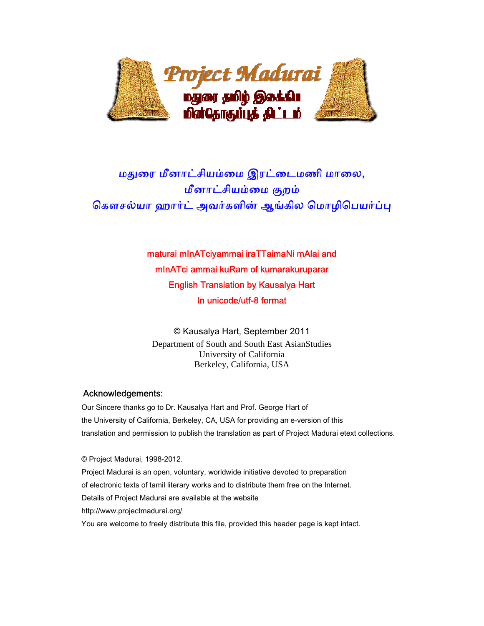

# மதுரை மீனாட்சியம்மை இரட்டைமணி மாலை, மீனாட்சியம்மை குறம் கௌசல்யா ஹார்ட் அவர்களின் ஆங்கில மொழிபெயர்ப்பு

# maturai mInATciyammai iraTTaimaNi mAlai and mInATci ammai kuRam of kumarakuruparar English Translation by Kausalya Hart In unicode/utf-8 format

© Kausalya Hart, September 2011 Department of South and South East AsianStudies University of California Berkeley, California, USA

# Acknowledgements:

 Our Sincere thanks go to Dr. Kausalya Hart and Prof. George Hart of the University of California, Berkeley, CA, USA for providing an e-version of this translation and permission to publish the translation as part of Project Madurai etext collections.

 © Project Madurai, 1998-2012. Project Madurai is an open, voluntary, worldwide initiative devoted to preparation of electronic texts of tamil literary works and to distribute them free on the Internet. Details of Project Madurai are available at the website http://www.projectmadurai.org/ You are welcome to freely distribute this file, provided this header page is kept intact.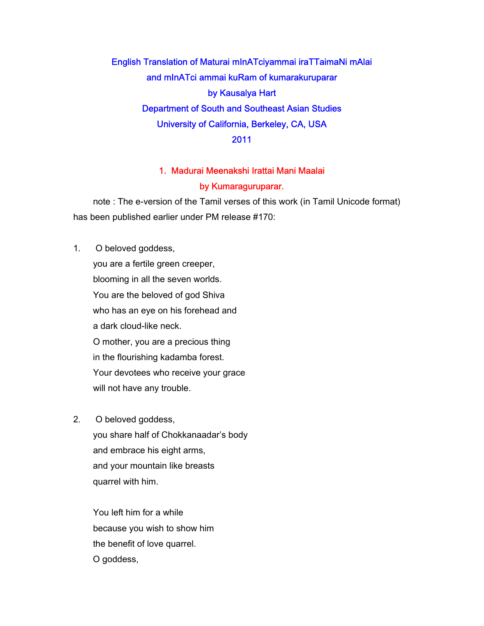English Translation of Maturai mInATciyammai iraTTaimaNi mAlai and mInATci ammai kuRam of kumarakuruparar by Kausalya Hart Department of South and Southeast Asian Studies University of California, Berkeley, CA, USA 2011

# 1. Madurai Meenakshi Irattai Mani Maalai

### by Kumaraguruparar.

 note : The e-version of the Tamil verses of this work (in Tamil Unicode format) has been published earlier under PM release #170:

- 1. O beloved goddess, you are a fertile green creeper, blooming in all the seven worlds. You are the beloved of god Shiva who has an eye on his forehead and a dark cloud-like neck. O mother, you are a precious thing in the flourishing kadamba forest. Your devotees who receive your grace will not have any trouble.
- 2. O beloved goddess,

 you share half of Chokkanaadar's body and embrace his eight arms, and your mountain like breasts quarrel with him.

 You left him for a while because you wish to show him the benefit of love quarrel. O goddess,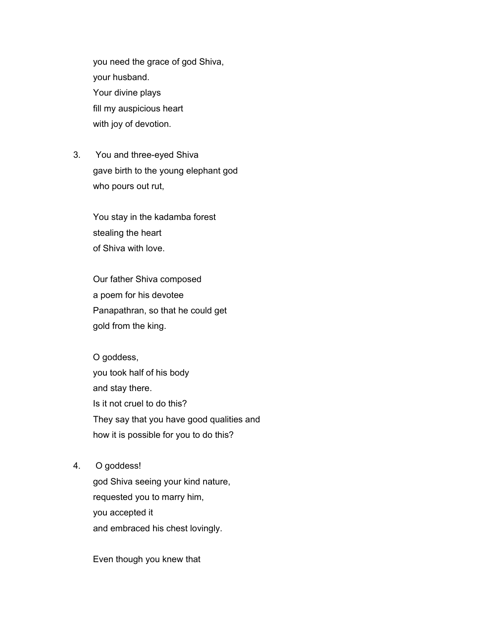you need the grace of god Shiva, your husband. Your divine plays fill my auspicious heart with joy of devotion.

3. You and three-eyed Shiva gave birth to the young elephant god who pours out rut,

> You stay in the kadamba forest stealing the heart of Shiva with love.

 Our father Shiva composed a poem for his devotee Panapathran, so that he could get gold from the king.

 O goddess, you took half of his body and stay there. Is it not cruel to do this? They say that you have good qualities and how it is possible for you to do this?

4. O goddess!

 god Shiva seeing your kind nature, requested you to marry him, you accepted it and embraced his chest lovingly.

Even though you knew that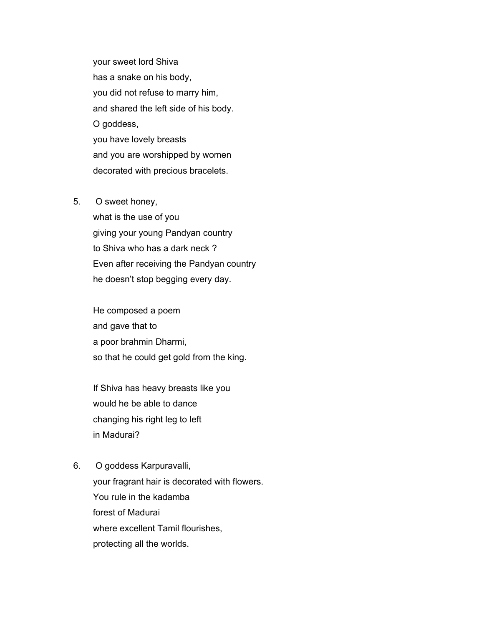your sweet lord Shiva has a snake on his body, you did not refuse to marry him, and shared the left side of his body. O goddess, you have lovely breasts and you are worshipped by women decorated with precious bracelets.

### 5. O sweet honey,

 what is the use of you giving your young Pandyan country to Shiva who has a dark neck ? Even after receiving the Pandyan country he doesn't stop begging every day.

 He composed a poem and gave that to a poor brahmin Dharmi, so that he could get gold from the king.

 If Shiva has heavy breasts like you would he be able to dance changing his right leg to left in Madurai?

6. O goddess Karpuravalli, your fragrant hair is decorated with flowers. You rule in the kadamba forest of Madurai where excellent Tamil flourishes, protecting all the worlds.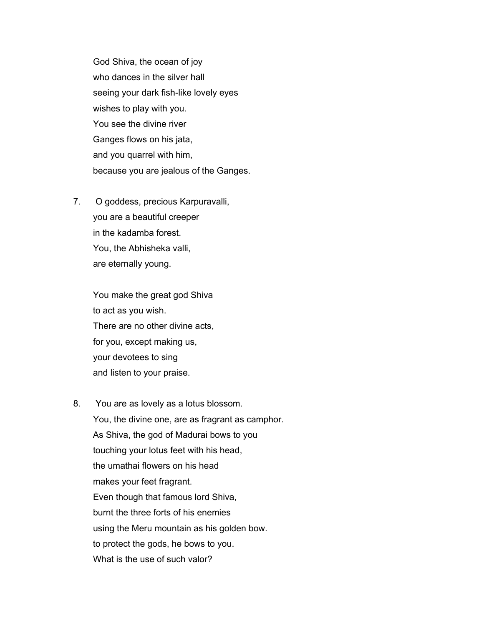God Shiva, the ocean of joy who dances in the silver hall seeing your dark fish-like lovely eyes wishes to play with you. You see the divine river Ganges flows on his jata, and you quarrel with him, because you are jealous of the Ganges.

7. O goddess, precious Karpuravalli, you are a beautiful creeper in the kadamba forest. You, the Abhisheka valli, are eternally young.

> You make the great god Shiva to act as you wish. There are no other divine acts, for you, except making us, your devotees to sing and listen to your praise.

8. You are as lovely as a lotus blossom. You, the divine one, are as fragrant as camphor. As Shiva, the god of Madurai bows to you touching your lotus feet with his head, the umathai flowers on his head makes your feet fragrant. Even though that famous lord Shiva, burnt the three forts of his enemies using the Meru mountain as his golden bow. to protect the gods, he bows to you. What is the use of such valor?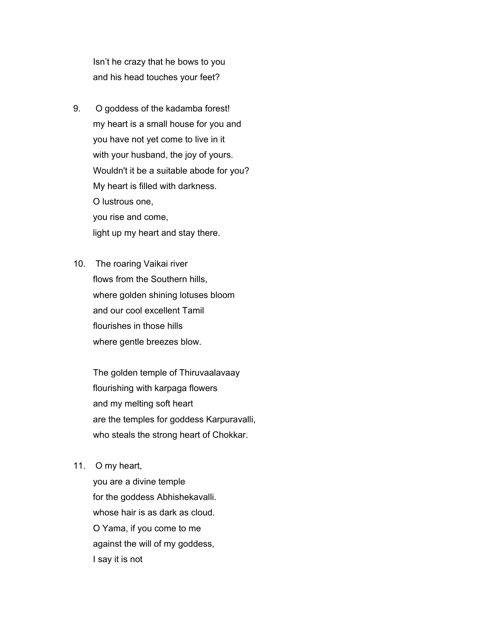Isn't he crazy that he bows to you and his head touches your feet?

- 9. O goddess of the kadamba forest! my heart is a small house for you and you have not yet come to live in it with your husband, the joy of yours. Wouldn't it be a suitable abode for you? My heart is filled with darkness. O lustrous one, you rise and come, light up my heart and stay there.
- 10. The roaring Vaikai river flows from the Southern hills, where golden shining lotuses bloom and our cool excellent Tamil flourishes in those hills where gentle breezes blow.

 The golden temple of Thiruvaalavaay flourishing with karpaga flowers and my melting soft heart are the temples for goddess Karpuravalli, who steals the strong heart of Chokkar.

11. O my heart,

 you are a divine temple for the goddess Abhishekavalli. whose hair is as dark as cloud. O Yama, if you come to me against the will of my goddess, I say it is not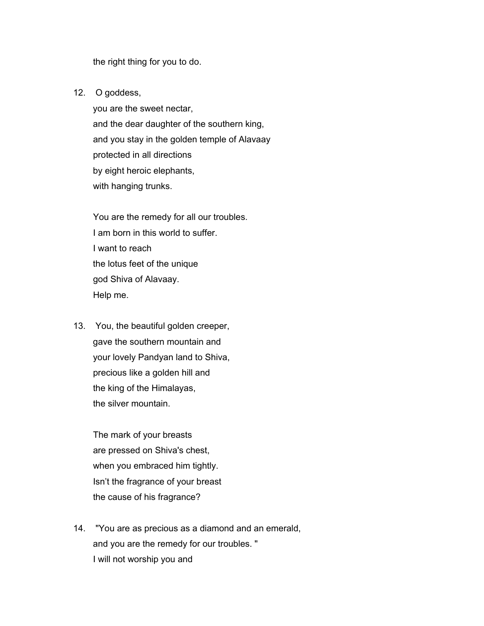the right thing for you to do.

12. O goddess,

 you are the sweet nectar, and the dear daughter of the southern king, and you stay in the golden temple of Alavaay protected in all directions by eight heroic elephants, with hanging trunks.

 You are the remedy for all our troubles. I am born in this world to suffer. I want to reach the lotus feet of the unique god Shiva of Alavaay. Help me.

13. You, the beautiful golden creeper, gave the southern mountain and your lovely Pandyan land to Shiva, precious like a golden hill and the king of the Himalayas, the silver mountain.

> The mark of your breasts are pressed on Shiva's chest, when you embraced him tightly. Isn't the fragrance of your breast the cause of his fragrance?

14. "You are as precious as a diamond and an emerald, and you are the remedy for our troubles. " I will not worship you and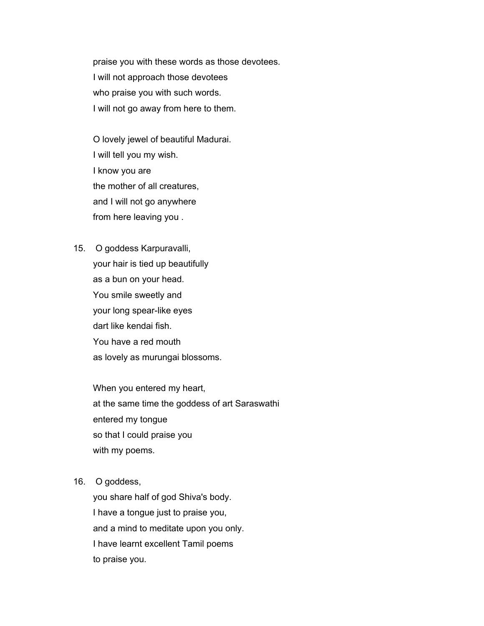praise you with these words as those devotees. I will not approach those devotees who praise you with such words. I will not go away from here to them.

 O lovely jewel of beautiful Madurai. I will tell you my wish. I know you are the mother of all creatures, and I will not go anywhere from here leaving you .

15. O goddess Karpuravalli, your hair is tied up beautifully as a bun on your head. You smile sweetly and your long spear-like eyes dart like kendai fish. You have a red mouth as lovely as murungai blossoms.

> When you entered my heart, at the same time the goddess of art Saraswathi entered my tongue so that I could praise you with my poems.

16. O goddess,

 you share half of god Shiva's body. I have a tongue just to praise you, and a mind to meditate upon you only. I have learnt excellent Tamil poems to praise you.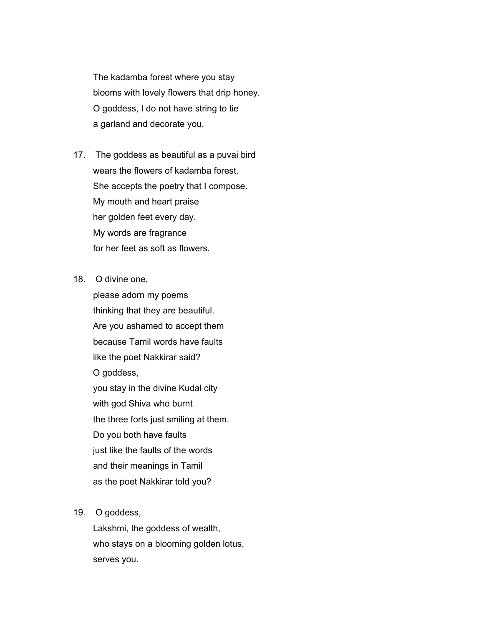The kadamba forest where you stay blooms with lovely flowers that drip honey. O goddess, I do not have string to tie a garland and decorate you.

- 17. The goddess as beautiful as a puvai bird wears the flowers of kadamba forest. She accepts the poetry that I compose. My mouth and heart praise her golden feet every day. My words are fragrance for her feet as soft as flowers.
- 18. O divine one,

 please adorn my poems thinking that they are beautiful. Are you ashamed to accept them because Tamil words have faults like the poet Nakkirar said? O goddess, you stay in the divine Kudal city with god Shiva who burnt the three forts just smiling at them. Do you both have faults just like the faults of the words and their meanings in Tamil as the poet Nakkirar told you?

### 19. O goddess,

 Lakshmi, the goddess of wealth, who stays on a blooming golden lotus, serves you.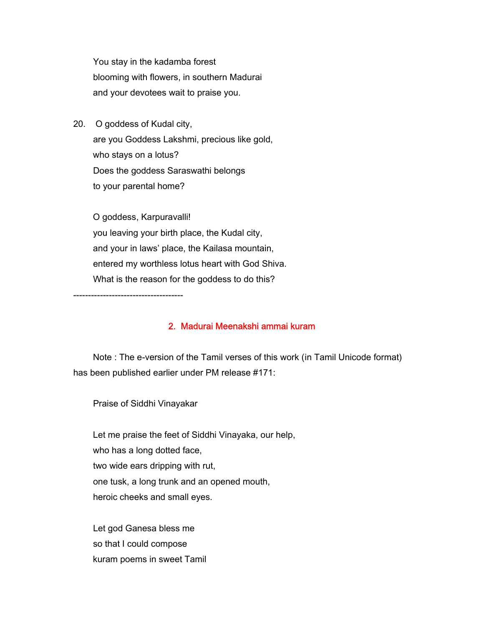You stay in the kadamba forest blooming with flowers, in southern Madurai and your devotees wait to praise you.

20. O goddess of Kudal city, are you Goddess Lakshmi, precious like gold, who stays on a lotus? Does the goddess Saraswathi belongs to your parental home?

 O goddess, Karpuravalli! you leaving your birth place, the Kudal city, and your in laws' place, the Kailasa mountain, entered my worthless lotus heart with God Shiva. What is the reason for the goddess to do this?

-------------------------------------

# 2. Madurai Meenakshi ammai kuram

 Note : The e-version of the Tamil verses of this work (in Tamil Unicode format) has been published earlier under PM release #171:

Praise of Siddhi Vinayakar

 Let me praise the feet of Siddhi Vinayaka, our help, who has a long dotted face, two wide ears dripping with rut, one tusk, a long trunk and an opened mouth, heroic cheeks and small eyes.

 Let god Ganesa bless me so that I could compose kuram poems in sweet Tamil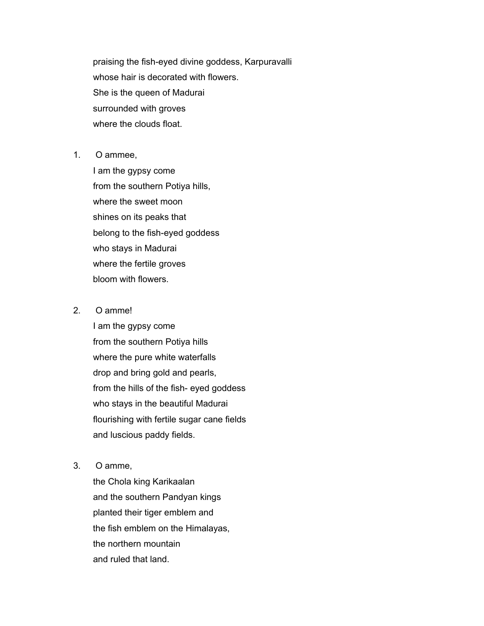praising the fish-eyed divine goddess, Karpuravalli whose hair is decorated with flowers. She is the queen of Madurai surrounded with groves where the clouds float.

1. O ammee,

 I am the gypsy come from the southern Potiya hills, where the sweet moon shines on its peaks that belong to the fish-eyed goddess who stays in Madurai where the fertile groves bloom with flowers.

2. O amme!

 I am the gypsy come from the southern Potiya hills where the pure white waterfalls drop and bring gold and pearls, from the hills of the fish- eyed goddess who stays in the beautiful Madurai flourishing with fertile sugar cane fields and luscious paddy fields.

3. O amme,

 the Chola king Karikaalan and the southern Pandyan kings planted their tiger emblem and the fish emblem on the Himalayas, the northern mountain and ruled that land.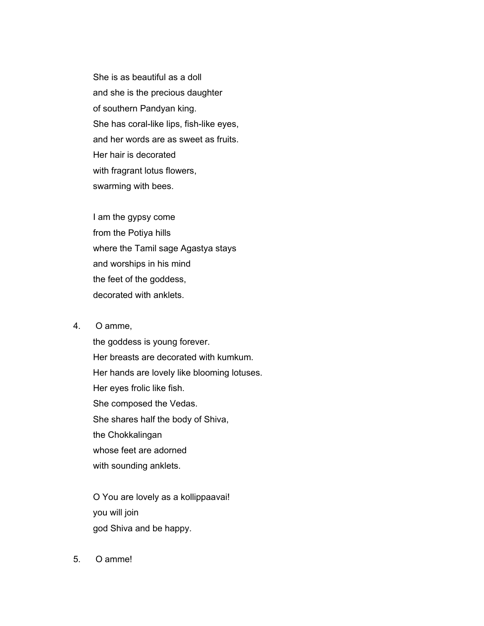She is as beautiful as a doll and she is the precious daughter of southern Pandyan king. She has coral-like lips, fish-like eyes, and her words are as sweet as fruits. Her hair is decorated with fragrant lotus flowers, swarming with bees.

 I am the gypsy come from the Potiya hills where the Tamil sage Agastya stays and worships in his mind the feet of the goddess, decorated with anklets.

### 4. O amme,

 the goddess is young forever. Her breasts are decorated with kumkum. Her hands are lovely like blooming lotuses. Her eyes frolic like fish. She composed the Vedas. She shares half the body of Shiva, the Chokkalingan whose feet are adorned with sounding anklets.

 O You are lovely as a kollippaavai! you will join god Shiva and be happy.

5. O amme!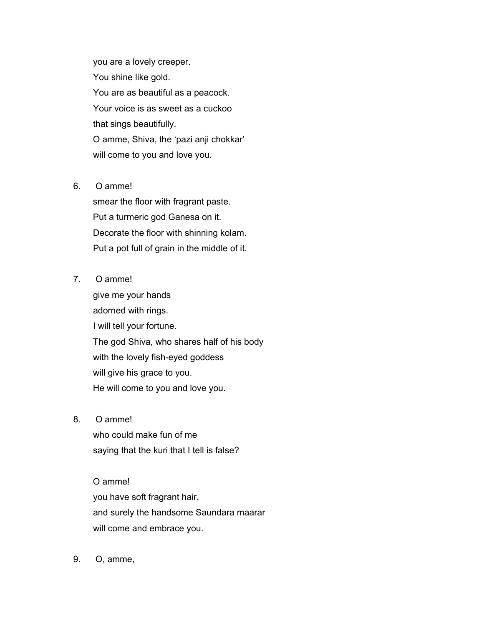you are a lovely creeper. You shine like gold. You are as beautiful as a peacock. Your voice is as sweet as a cuckoo that sings beautifully. O amme, Shiva, the 'pazi anji chokkar' will come to you and love you.

## 6. O amme!

 smear the floor with fragrant paste. Put a turmeric god Ganesa on it. Decorate the floor with shinning kolam. Put a pot full of grain in the middle of it.

# 7. O amme!

 give me your hands adorned with rings. I will tell your fortune. The god Shiva, who shares half of his body with the lovely fish-eyed goddess will give his grace to you. He will come to you and love you.

# 8. O amme!

 who could make fun of me saying that the kuri that I tell is false?

# O amme! you have soft fragrant hair,

 and surely the handsome Saundara maarar will come and embrace you.

9. O, amme,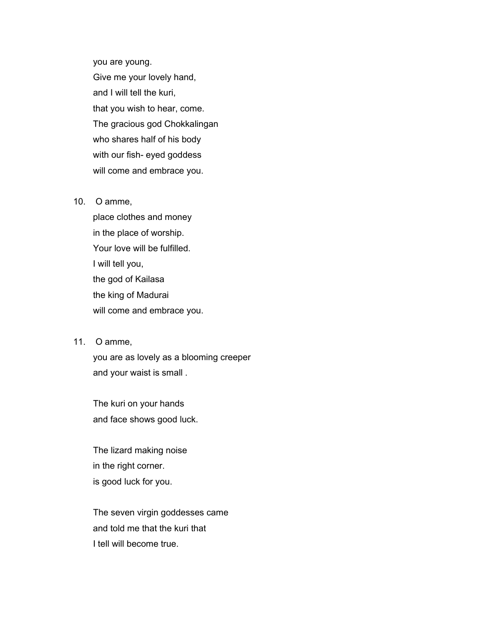you are young. Give me your lovely hand, and I will tell the kuri, that you wish to hear, come. The gracious god Chokkalingan who shares half of his body with our fish- eyed goddess will come and embrace you.

### 10. O amme,

 place clothes and money in the place of worship. Your love will be fulfilled. I will tell you, the god of Kailasa the king of Madurai will come and embrace you.

# 11. O amme,

 you are as lovely as a blooming creeper and your waist is small .

 The kuri on your hands and face shows good luck.

 The lizard making noise in the right corner. is good luck for you.

 The seven virgin goddesses came and told me that the kuri that I tell will become true.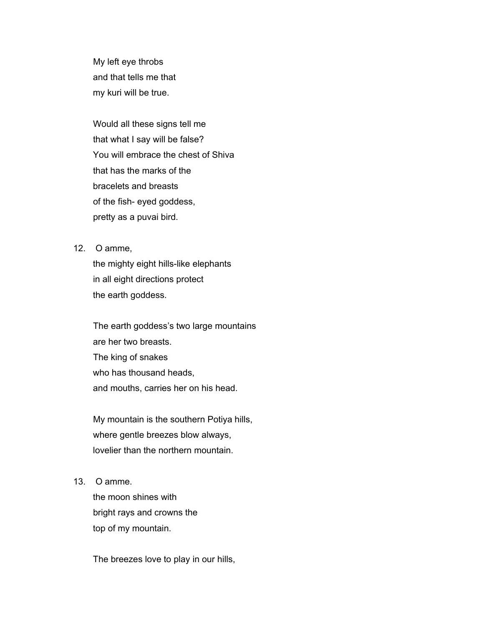My left eye throbs and that tells me that my kuri will be true.

 Would all these signs tell me that what I say will be false? You will embrace the chest of Shiva that has the marks of the bracelets and breasts of the fish- eyed goddess, pretty as a puvai bird.

12. O amme,

 the mighty eight hills-like elephants in all eight directions protect the earth goddess.

 The earth goddess's two large mountains are her two breasts. The king of snakes who has thousand heads, and mouths, carries her on his head.

 My mountain is the southern Potiya hills, where gentle breezes blow always, lovelier than the northern mountain.

13. O amme.

 the moon shines with bright rays and crowns the top of my mountain.

The breezes love to play in our hills,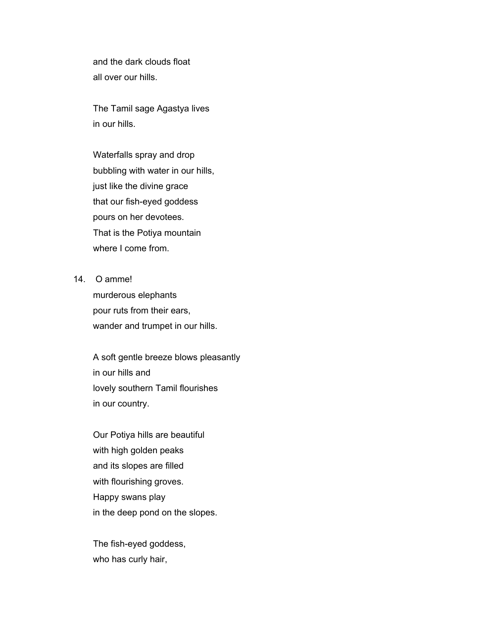and the dark clouds float all over our hills.

 The Tamil sage Agastya lives in our hills.

 Waterfalls spray and drop bubbling with water in our hills, just like the divine grace that our fish-eyed goddess pours on her devotees. That is the Potiya mountain where I come from.

14. O amme!

 murderous elephants pour ruts from their ears, wander and trumpet in our hills.

 A soft gentle breeze blows pleasantly in our hills and lovely southern Tamil flourishes in our country.

 Our Potiya hills are beautiful with high golden peaks and its slopes are filled with flourishing groves. Happy swans play in the deep pond on the slopes.

 The fish-eyed goddess, who has curly hair,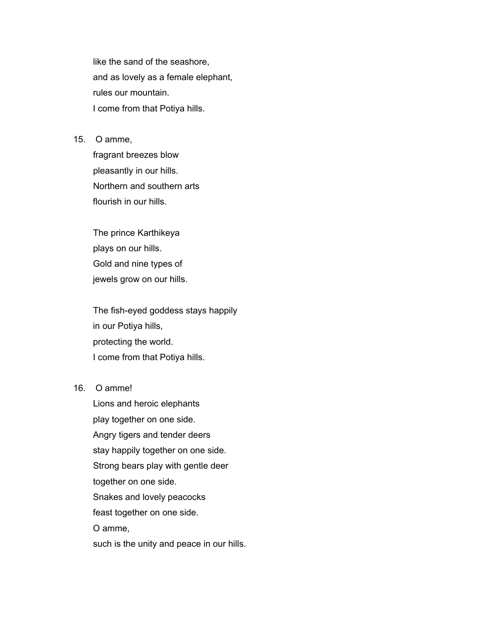like the sand of the seashore, and as lovely as a female elephant, rules our mountain. I come from that Potiya hills.

15. O amme,

 fragrant breezes blow pleasantly in our hills. Northern and southern arts flourish in our hills.

 The prince Karthikeya plays on our hills. Gold and nine types of jewels grow on our hills.

 The fish-eyed goddess stays happily in our Potiya hills, protecting the world. I come from that Potiya hills.

# 16. O amme!

 Lions and heroic elephants play together on one side. Angry tigers and tender deers stay happily together on one side. Strong bears play with gentle deer together on one side. Snakes and lovely peacocks feast together on one side. O amme, such is the unity and peace in our hills.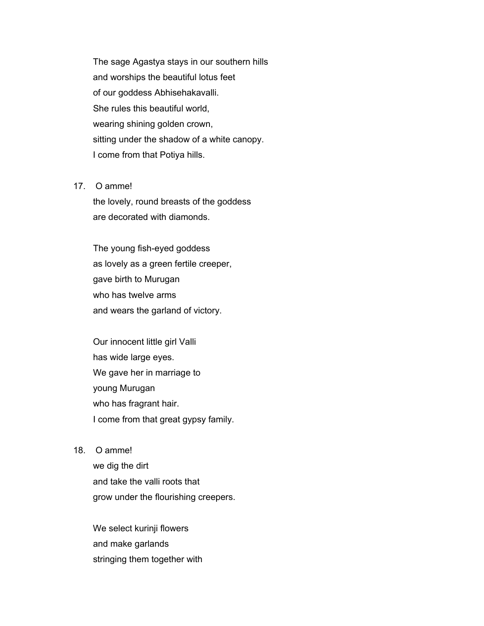The sage Agastya stays in our southern hills and worships the beautiful lotus feet of our goddess Abhisehakavalli. She rules this beautiful world, wearing shining golden crown, sitting under the shadow of a white canopy. I come from that Potiya hills.

#### 17. O amme!

 the lovely, round breasts of the goddess are decorated with diamonds.

 The young fish-eyed goddess as lovely as a green fertile creeper, gave birth to Murugan who has twelve arms and wears the garland of victory.

 Our innocent little girl Valli has wide large eyes. We gave her in marriage to young Murugan who has fragrant hair. I come from that great gypsy family.

18. O amme!

 we dig the dirt and take the valli roots that grow under the flourishing creepers.

 We select kurinji flowers and make garlands stringing them together with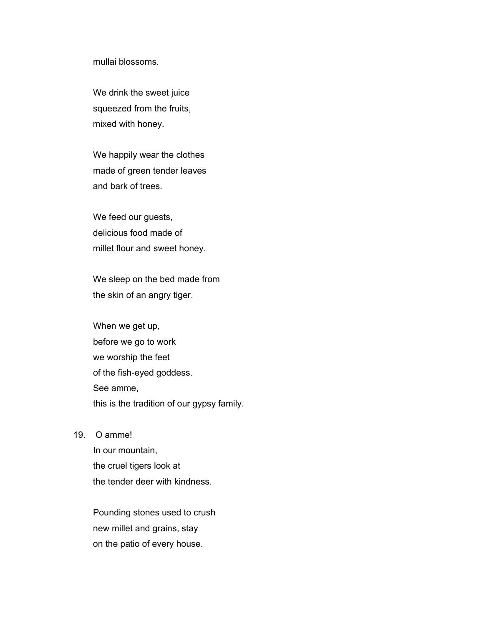mullai blossoms.

 We drink the sweet juice squeezed from the fruits, mixed with honey.

 We happily wear the clothes made of green tender leaves and bark of trees.

 We feed our guests, delicious food made of millet flour and sweet honey.

 We sleep on the bed made from the skin of an angry tiger.

 When we get up, before we go to work we worship the feet of the fish-eyed goddess. See amme, this is the tradition of our gypsy family.

19. O amme!

 In our mountain, the cruel tigers look at the tender deer with kindness.

 Pounding stones used to crush new millet and grains, stay on the patio of every house.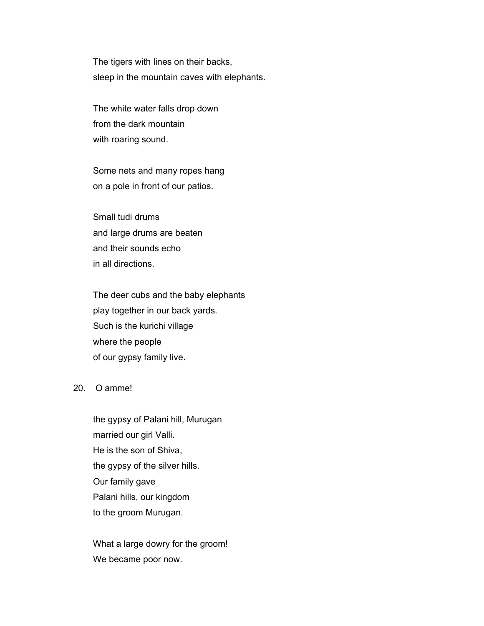The tigers with lines on their backs, sleep in the mountain caves with elephants.

 The white water falls drop down from the dark mountain with roaring sound.

 Some nets and many ropes hang on a pole in front of our patios.

 Small tudi drums and large drums are beaten and their sounds echo in all directions.

 The deer cubs and the baby elephants play together in our back yards. Such is the kurichi village where the people of our gypsy family live.

### 20. O amme!

 the gypsy of Palani hill, Murugan married our girl Valli. He is the son of Shiva, the gypsy of the silver hills. Our family gave Palani hills, our kingdom to the groom Murugan.

 What a large dowry for the groom! We became poor now.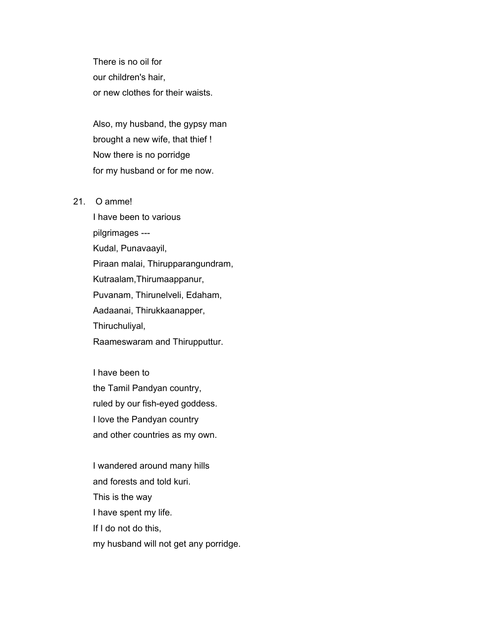There is no oil for our children's hair, or new clothes for their waists.

 Also, my husband, the gypsy man brought a new wife, that thief ! Now there is no porridge for my husband or for me now.

### 21 O ammel

 I have been to various pilgrimages --- Kudal, Punavaayil, Piraan malai, Thirupparangundram, Kutraalam,Thirumaappanur, Puvanam, Thirunelveli, Edaham, Aadaanai, Thirukkaanapper, Thiruchuliyal, Raameswaram and Thirupputtur.

 I have been to the Tamil Pandyan country, ruled by our fish-eyed goddess. I love the Pandyan country and other countries as my own.

 I wandered around many hills and forests and told kuri. This is the way I have spent my life. If I do not do this, my husband will not get any porridge.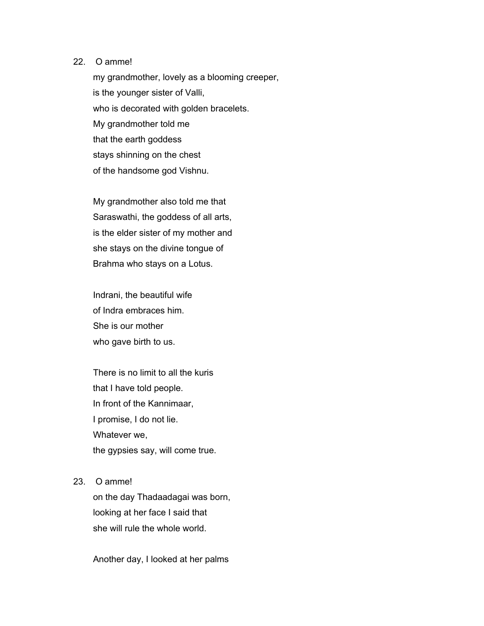### 22. O amme!

 my grandmother, lovely as a blooming creeper, is the younger sister of Valli, who is decorated with golden bracelets. My grandmother told me that the earth goddess stays shinning on the chest of the handsome god Vishnu.

 My grandmother also told me that Saraswathi, the goddess of all arts, is the elder sister of my mother and she stays on the divine tongue of Brahma who stays on a Lotus.

 Indrani, the beautiful wife of Indra embraces him. She is our mother who gave birth to us.

 There is no limit to all the kuris that I have told people. In front of the Kannimaar, I promise, I do not lie. Whatever we, the gypsies say, will come true.

#### 23. O amme!

 on the day Thadaadagai was born, looking at her face I said that she will rule the whole world.

Another day, I looked at her palms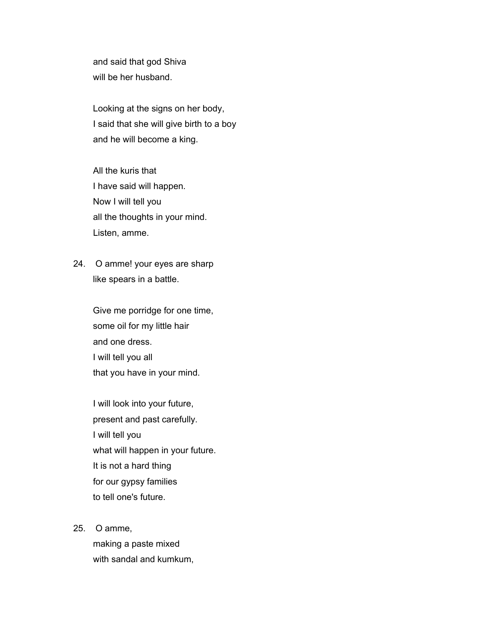and said that god Shiva will be her husband.

 Looking at the signs on her body, I said that she will give birth to a boy and he will become a king.

 All the kuris that I have said will happen. Now I will tell you all the thoughts in your mind. Listen, amme.

24. O amme! your eyes are sharp like spears in a battle.

> Give me porridge for one time, some oil for my little hair and one dress. I will tell you all that you have in your mind.

 I will look into your future, present and past carefully. I will tell you what will happen in your future. It is not a hard thing for our gypsy families to tell one's future.

25. O amme,

 making a paste mixed with sandal and kumkum,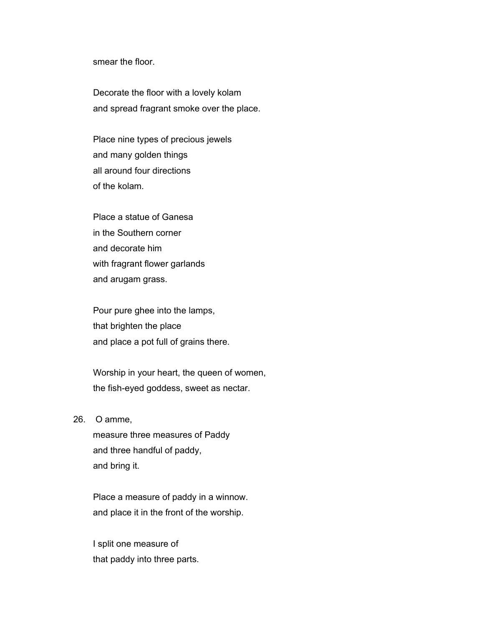smear the floor.

 Decorate the floor with a lovely kolam and spread fragrant smoke over the place.

 Place nine types of precious jewels and many golden things all around four directions of the kolam.

 Place a statue of Ganesa in the Southern corner and decorate him with fragrant flower garlands and arugam grass.

 Pour pure ghee into the lamps, that brighten the place and place a pot full of grains there.

 Worship in your heart, the queen of women, the fish-eyed goddess, sweet as nectar.

26. O amme,

 measure three measures of Paddy and three handful of paddy, and bring it.

 Place a measure of paddy in a winnow. and place it in the front of the worship.

 I split one measure of that paddy into three parts.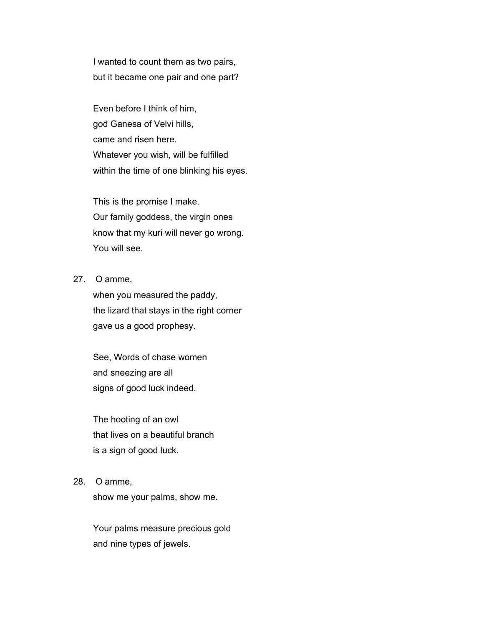I wanted to count them as two pairs, but it became one pair and one part?

 Even before I think of him, god Ganesa of Velvi hills, came and risen here. Whatever you wish, will be fulfilled within the time of one blinking his eyes.

 This is the promise I make. Our family goddess, the virgin ones know that my kuri will never go wrong. You will see.

# 27. O amme,

 when you measured the paddy, the lizard that stays in the right corner gave us a good prophesy.

 See, Words of chase women and sneezing are all signs of good luck indeed.

 The hooting of an owl that lives on a beautiful branch is a sign of good luck.

### 28. O amme,

show me your palms, show me.

 Your palms measure precious gold and nine types of jewels.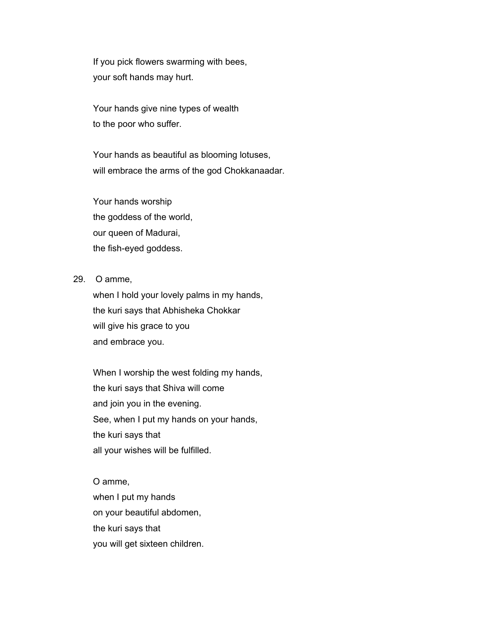If you pick flowers swarming with bees, your soft hands may hurt.

 Your hands give nine types of wealth to the poor who suffer.

 Your hands as beautiful as blooming lotuses, will embrace the arms of the god Chokkanaadar.

 Your hands worship the goddess of the world, our queen of Madurai, the fish-eyed goddess.

29. O amme,

 when I hold your lovely palms in my hands, the kuri says that Abhisheka Chokkar will give his grace to you and embrace you.

 When I worship the west folding my hands, the kuri says that Shiva will come and join you in the evening. See, when I put my hands on your hands, the kuri says that all your wishes will be fulfilled.

 O amme, when I put my hands on your beautiful abdomen, the kuri says that you will get sixteen children.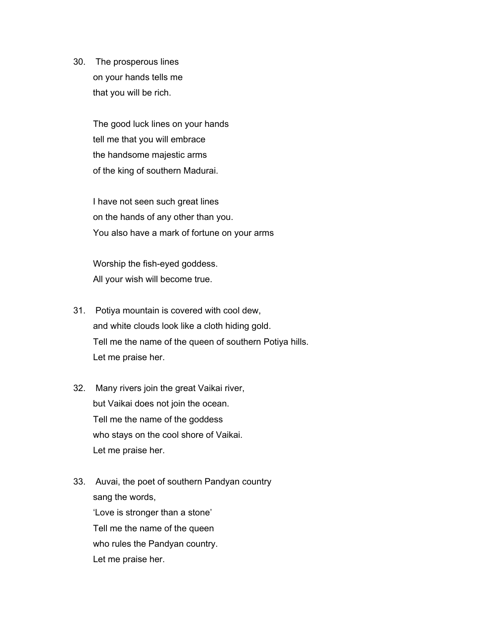30. The prosperous lines on your hands tells me that you will be rich.

> The good luck lines on your hands tell me that you will embrace the handsome majestic arms of the king of southern Madurai.

 I have not seen such great lines on the hands of any other than you. You also have a mark of fortune on your arms

 Worship the fish-eyed goddess. All your wish will become true.

- 31. Potiya mountain is covered with cool dew, and white clouds look like a cloth hiding gold. Tell me the name of the queen of southern Potiya hills. Let me praise her.
- 32. Many rivers join the great Vaikai river, but Vaikai does not join the ocean. Tell me the name of the goddess who stays on the cool shore of Vaikai. Let me praise her.
- 33. Auvai, the poet of southern Pandyan country sang the words, 'Love is stronger than a stone' Tell me the name of the queen who rules the Pandyan country. Let me praise her.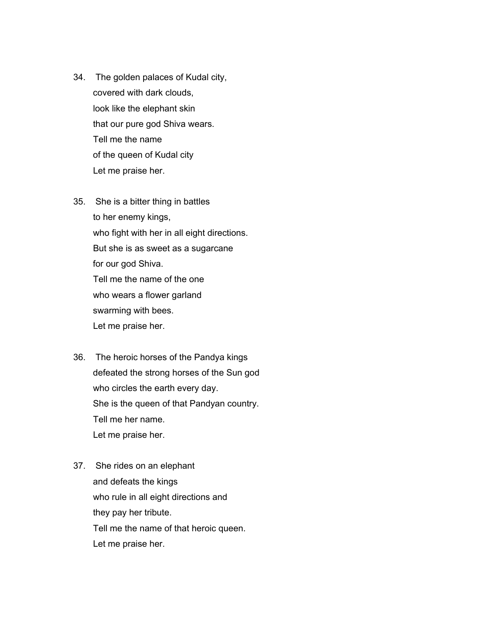- 34. The golden palaces of Kudal city, covered with dark clouds, look like the elephant skin that our pure god Shiva wears. Tell me the name of the queen of Kudal city Let me praise her.
- 35. She is a bitter thing in battles to her enemy kings, who fight with her in all eight directions. But she is as sweet as a sugarcane for our god Shiva. Tell me the name of the one who wears a flower garland swarming with bees. Let me praise her.
- 36. The heroic horses of the Pandya kings defeated the strong horses of the Sun god who circles the earth every day. She is the queen of that Pandyan country. Tell me her name. Let me praise her.
- 37. She rides on an elephant and defeats the kings who rule in all eight directions and they pay her tribute. Tell me the name of that heroic queen. Let me praise her.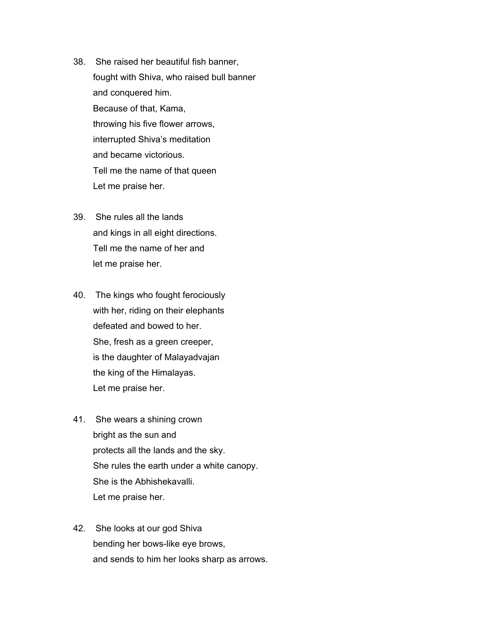- 38. She raised her beautiful fish banner, fought with Shiva, who raised bull banner and conquered him. Because of that, Kama, throwing his five flower arrows, interrupted Shiva's meditation and became victorious. Tell me the name of that queen Let me praise her.
- 39. She rules all the lands and kings in all eight directions. Tell me the name of her and let me praise her.
- 40. The kings who fought ferociously with her, riding on their elephants defeated and bowed to her. She, fresh as a green creeper, is the daughter of Malayadvajan the king of the Himalayas. Let me praise her.
- 41. She wears a shining crown bright as the sun and protects all the lands and the sky. She rules the earth under a white canopy. She is the Abhishekavalli. Let me praise her.
- 42. She looks at our god Shiva bending her bows-like eye brows, and sends to him her looks sharp as arrows.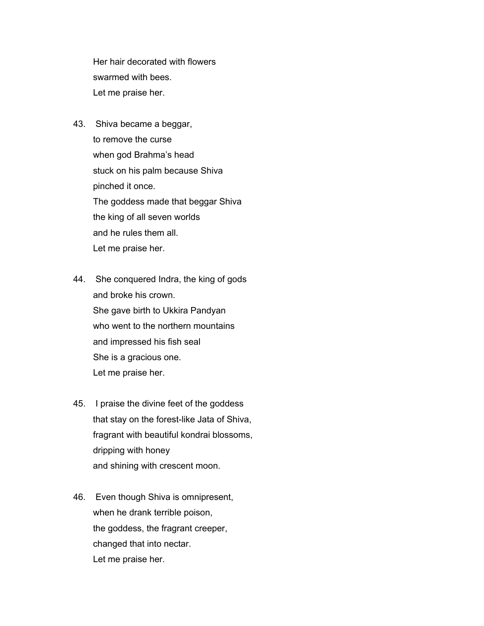Her hair decorated with flowers swarmed with bees. Let me praise her.

- 43. Shiva became a beggar, to remove the curse when god Brahma's head stuck on his palm because Shiva pinched it once. The goddess made that beggar Shiva the king of all seven worlds and he rules them all. Let me praise her.
- 44. She conquered Indra, the king of gods and broke his crown. She gave birth to Ukkira Pandyan who went to the northern mountains and impressed his fish seal She is a gracious one. Let me praise her.
- 45. I praise the divine feet of the goddess that stay on the forest-like Jata of Shiva, fragrant with beautiful kondrai blossoms, dripping with honey and shining with crescent moon.
- 46. Even though Shiva is omnipresent, when he drank terrible poison, the goddess, the fragrant creeper, changed that into nectar. Let me praise her.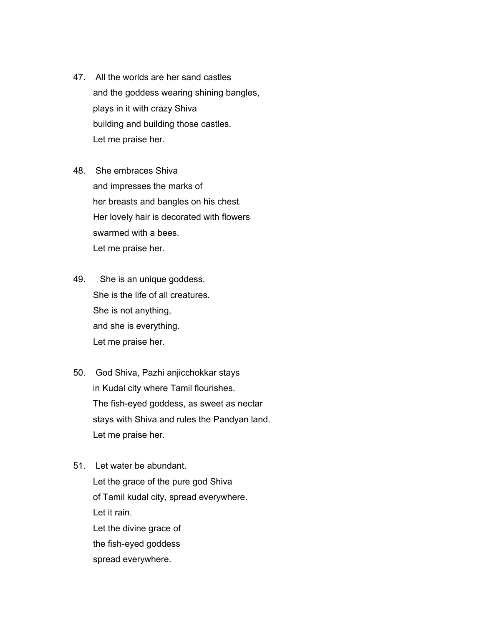- 47. All the worlds are her sand castles and the goddess wearing shining bangles, plays in it with crazy Shiva building and building those castles. Let me praise her.
- 48. She embraces Shiva and impresses the marks of her breasts and bangles on his chest. Her lovely hair is decorated with flowers swarmed with a bees. Let me praise her.
- 49. She is an unique goddess. She is the life of all creatures. She is not anything, and she is everything. Let me praise her.
- 50. God Shiva, Pazhi anjicchokkar stays in Kudal city where Tamil flourishes. The fish-eyed goddess, as sweet as nectar stays with Shiva and rules the Pandyan land. Let me praise her.
- 51. Let water be abundant. Let the grace of the pure god Shiva of Tamil kudal city, spread everywhere. Let it rain. Let the divine grace of the fish-eyed goddess spread everywhere.